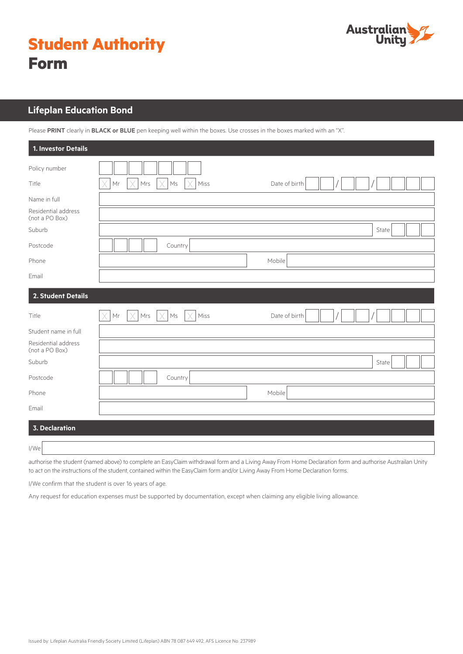

|             | <b>Student Authority</b> |
|-------------|--------------------------|
| <b>Form</b> |                          |

# **Lifeplan Education Bond Lifeplan Education Bond**

Please PRINT clearly in BLACK or BLUE pen keeping well within the boxes. Use crosses in the boxes marked with an "X".

| 1. Investor Details                   |                                                                                             |  |
|---------------------------------------|---------------------------------------------------------------------------------------------|--|
| Policy number                         |                                                                                             |  |
| Title                                 | X<br>Mrs<br>X<br>$\mathsf{M}\mathsf{s}$<br>Miss<br>Date of birth<br>Mr                      |  |
| Name in full                          |                                                                                             |  |
| Residential address<br>(not a PO Box) |                                                                                             |  |
| Suburb                                | State                                                                                       |  |
| Postcode                              | Country                                                                                     |  |
| Phone                                 | Mobile                                                                                      |  |
| Email                                 |                                                                                             |  |
| 2. Student Details                    |                                                                                             |  |
| Title                                 | $\times$<br>$\times$<br>$\mathsf{Mr}$<br>Mrs<br>X<br>Miss<br>$\mathsf{Ms}$<br>Date of birth |  |
| Student name in full                  |                                                                                             |  |
| Residential address<br>(not a PO Box) |                                                                                             |  |
| Suburb                                | State                                                                                       |  |
| Postcode                              | Country                                                                                     |  |
| Phone                                 | Mobile                                                                                      |  |
| Email                                 |                                                                                             |  |
| <b>3. Declaration</b>                 |                                                                                             |  |
| I/We                                  |                                                                                             |  |

authorise the student (named above) to complete an EasyClaim withdrawal form and a Living Away From Home Declaration form and authorise Austrailan Unity to act on the instructions of the student, contained within the EasyClaim form and/or Living Away From Home Declaration forms.

I/We confirm that the student is over 16 years of age.

Any request for education expenses must be supported by documentation, except when claiming any eligible living allowance.